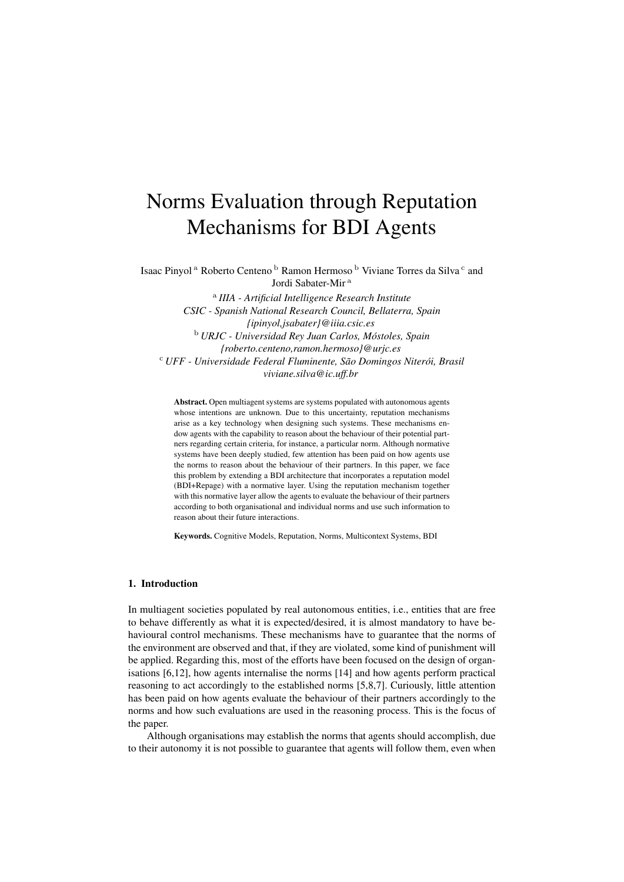# Norms Evaluation through Reputation Mechanisms for BDI Agents

Isaac Pinyol<sup>a</sup> Roberto Centeno<sup>b</sup> Ramon Hermoso<sup>b</sup> Viviane Torres da Silva<sup>c</sup> and Jordi Sabater-Mir<sup>a</sup>

a *IIIA - Artificial Intelligence Research Institute CSIC - Spanish National Research Council, Bellaterra, Spain {ipinyol,jsabater}@iiia.csic.es* <sup>b</sup> *URJC - Universidad Rey Juan Carlos, Móstoles, Spain {roberto.centeno,ramon.hermoso}@urjc.es* <sup>c</sup> *UFF - Universidade Federal Fluminente, São Domingos Niterói, Brasil viviane.silva@ic.uff.br*

Abstract. Open multiagent systems are systems populated with autonomous agents whose intentions are unknown. Due to this uncertainty, reputation mechanisms arise as a key technology when designing such systems. These mechanisms endow agents with the capability to reason about the behaviour of their potential partners regarding certain criteria, for instance, a particular norm. Although normative systems have been deeply studied, few attention has been paid on how agents use the norms to reason about the behaviour of their partners. In this paper, we face this problem by extending a BDI architecture that incorporates a reputation model (BDI+Repage) with a normative layer. Using the reputation mechanism together with this normative layer allow the agents to evaluate the behaviour of their partners according to both organisational and individual norms and use such information to reason about their future interactions.

Keywords. Cognitive Models, Reputation, Norms, Multicontext Systems, BDI

## 1. Introduction

In multiagent societies populated by real autonomous entities, i.e., entities that are free to behave differently as what it is expected/desired, it is almost mandatory to have behavioural control mechanisms. These mechanisms have to guarantee that the norms of the environment are observed and that, if they are violated, some kind of punishment will be applied. Regarding this, most of the efforts have been focused on the design of organisations [6,12], how agents internalise the norms [14] and how agents perform practical reasoning to act accordingly to the established norms [5,8,7]. Curiously, little attention has been paid on how agents evaluate the behaviour of their partners accordingly to the norms and how such evaluations are used in the reasoning process. This is the focus of the paper.

Although organisations may establish the norms that agents should accomplish, due to their autonomy it is not possible to guarantee that agents will follow them, even when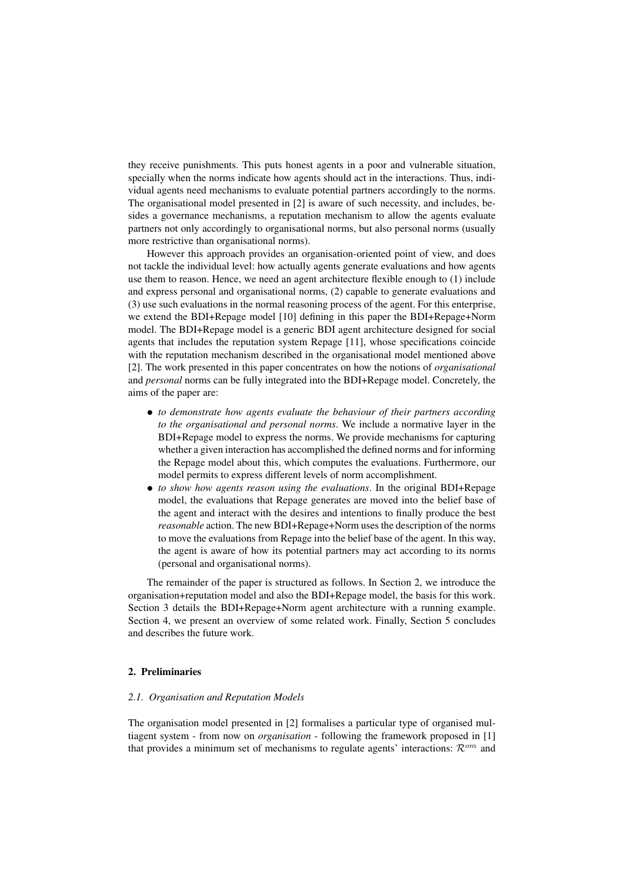they receive punishments. This puts honest agents in a poor and vulnerable situation, specially when the norms indicate how agents should act in the interactions. Thus, individual agents need mechanisms to evaluate potential partners accordingly to the norms. The organisational model presented in [2] is aware of such necessity, and includes, besides a governance mechanisms, a reputation mechanism to allow the agents evaluate partners not only accordingly to organisational norms, but also personal norms (usually more restrictive than organisational norms).

However this approach provides an organisation-oriented point of view, and does not tackle the individual level: how actually agents generate evaluations and how agents use them to reason. Hence, we need an agent architecture flexible enough to (1) include and express personal and organisational norms, (2) capable to generate evaluations and (3) use such evaluations in the normal reasoning process of the agent. For this enterprise, we extend the BDI+Repage model [10] defining in this paper the BDI+Repage+Norm model. The BDI+Repage model is a generic BDI agent architecture designed for social agents that includes the reputation system Repage [11], whose specifications coincide with the reputation mechanism described in the organisational model mentioned above [2]. The work presented in this paper concentrates on how the notions of *organisational* and *personal* norms can be fully integrated into the BDI+Repage model. Concretely, the aims of the paper are:

- *to demonstrate how agents evaluate the behaviour of their partners according to the organisational and personal norms*. We include a normative layer in the BDI+Repage model to express the norms. We provide mechanisms for capturing whether a given interaction has accomplished the defined norms and for informing the Repage model about this, which computes the evaluations. Furthermore, our model permits to express different levels of norm accomplishment.
- *to show how agents reason using the evaluations*. In the original BDI+Repage model, the evaluations that Repage generates are moved into the belief base of the agent and interact with the desires and intentions to finally produce the best *reasonable* action. The new BDI+Repage+Norm uses the description of the norms to move the evaluations from Repage into the belief base of the agent. In this way, the agent is aware of how its potential partners may act according to its norms (personal and organisational norms).

The remainder of the paper is structured as follows. In Section 2, we introduce the organisation+reputation model and also the BDI+Repage model, the basis for this work. Section 3 details the BDI+Repage+Norm agent architecture with a running example. Section 4, we present an overview of some related work. Finally, Section 5 concludes and describes the future work.

## 2. Preliminaries

## *2.1. Organisation and Reputation Models*

The organisation model presented in [2] formalises a particular type of organised multiagent system - from now on *organisation* - following the framework proposed in [1] that provides a minimum set of mechanisms to regulate agents' interactions:  $\mathcal{R}^{om}$  and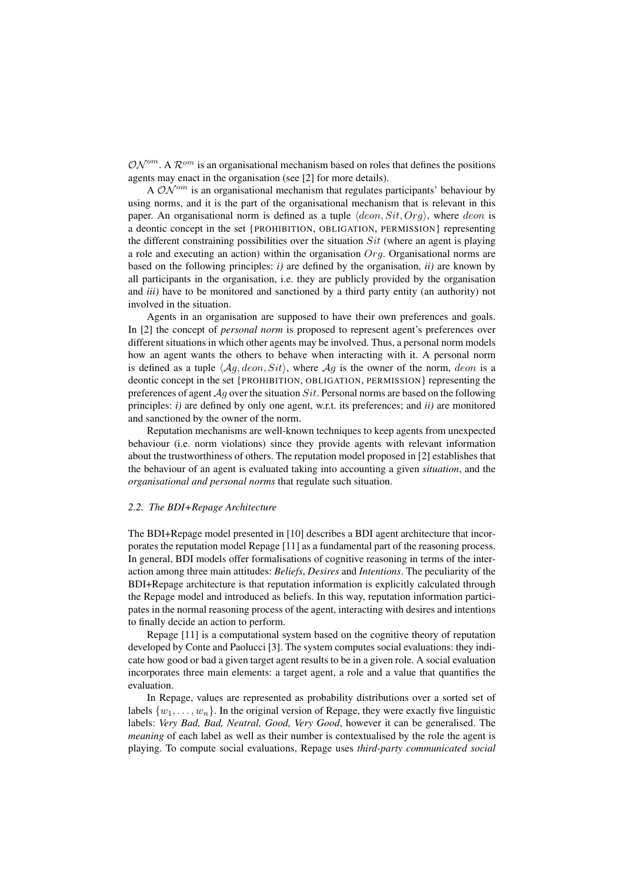$\mathcal{ON}^{om}$ . A  $\mathcal{R}^{om}$  is an organisational mechanism based on roles that defines the positions agents may enact in the organisation (see [2] for more details).

A  $\mathcal{ON}^{om}$  is an organisational mechanism that regulates participants' behaviour by using norms, and it is the part of the organisational mechanism that is relevant in this paper. An organisational norm is defined as a tuple  $\langle deon, Sit, Orq \rangle$ , where deon is a deontic concept in the set {PROHIBITION, OBLIGATION, PERMISSION} representing the different constraining possibilities over the situation  $Sit$  (where an agent is playing a role and executing an action) within the organisation  $Orq$ . Organisational norms are based on the following principles: *i)* are defined by the organisation, *ii)* are known by all participants in the organisation, i.e. they are publicly provided by the organisation and *iii)* have to be monitored and sanctioned by a third party entity (an authority) not involved in the situation.

Agents in an organisation are supposed to have their own preferences and goals. In [2] the concept of *personal norm* is proposed to represent agent's preferences over different situations in which other agents may be involved. Thus, a personal norm models how an agent wants the others to behave when interacting with it. A personal norm is defined as a tuple  $\langle Aq, deon, Sit \rangle$ , where  $Aq$  is the owner of the norm, deon is a deontic concept in the set {PROHIBITION, OBLIGATION, PERMISSION} representing the preferences of agent  $Ag$  over the situation  $Sit$ . Personal norms are based on the following principles: *i)* are defined by only one agent, w.r.t. its preferences; and *ii)* are monitored and sanctioned by the owner of the norm.

Reputation mechanisms are well-known techniques to keep agents from unexpected behaviour (i.e. norm violations) since they provide agents with relevant information about the trustworthiness of others. The reputation model proposed in [2] establishes that the behaviour of an agent is evaluated taking into accounting a given *situation*, and the *organisational and personal norms* that regulate such situation.

#### *2.2. The BDI+Repage Architecture*

The BDI+Repage model presented in [10] describes a BDI agent architecture that incorporates the reputation model Repage [11] as a fundamental part of the reasoning process. In general, BDI models offer formalisations of cognitive reasoning in terms of the interaction among three main attitudes: *Beliefs*, *Desires* and *Intentions*. The peculiarity of the BDI+Repage architecture is that reputation information is explicitly calculated through the Repage model and introduced as beliefs. In this way, reputation information participates in the normal reasoning process of the agent, interacting with desires and intentions to finally decide an action to perform.

Repage [11] is a computational system based on the cognitive theory of reputation developed by Conte and Paolucci [3]. The system computes social evaluations: they indicate how good or bad a given target agent results to be in a given role. A social evaluation incorporates three main elements: a target agent, a role and a value that quantifies the evaluation.

In Repage, values are represented as probability distributions over a sorted set of labels  $\{w_1, \ldots, w_n\}$ . In the original version of Repage, they were exactly five linguistic labels: *Very Bad, Bad, Neutral, Good, Very Good*, however it can be generalised. The *meaning* of each label as well as their number is contextualised by the role the agent is playing. To compute social evaluations, Repage uses *third-party communicated social*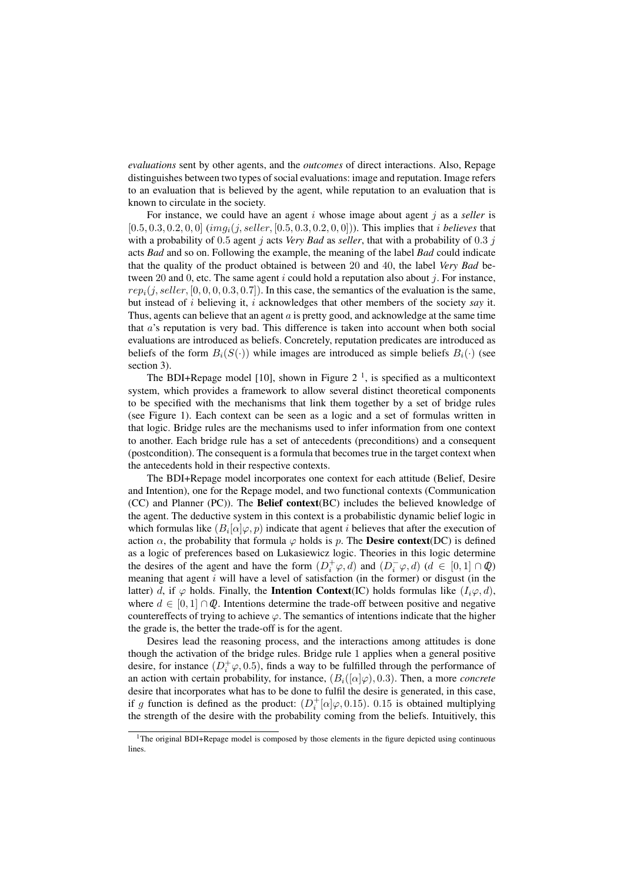*evaluations* sent by other agents, and the *outcomes* of direct interactions. Also, Repage distinguishes between two types of social evaluations: image and reputation. Image refers to an evaluation that is believed by the agent, while reputation to an evaluation that is known to circulate in the society.

For instance, we could have an agent i whose image about agent j as a *seller* is  $[0.5, 0.3, 0.2, 0, 0]$  (img<sub>i</sub>(j, seller, [0.5, 0.3, 0.2, 0, 0])). This implies that *i believes* that with a probability of 0.5 agent j acts *Very Bad* as *seller*, that with a probability of 0.3 j acts *Bad* and so on. Following the example, the meaning of the label *Bad* could indicate that the quality of the product obtained is between 20 and 40, the label *Very Bad* between 20 and 0, etc. The same agent i could hold a reputation also about j. For instance,  $rep_i(j, seller, [0, 0, 0, 0.3, 0.7])$ . In this case, the semantics of the evaluation is the same, but instead of i believing it, i acknowledges that other members of the society *say* it. Thus, agents can believe that an agent  $a$  is pretty good, and acknowledge at the same time that a's reputation is very bad. This difference is taken into account when both social evaluations are introduced as beliefs. Concretely, reputation predicates are introduced as beliefs of the form  $B_i(S(\cdot))$  while images are introduced as simple beliefs  $B_i(\cdot)$  (see section 3).

The BDI+Repage model [10], shown in Figure  $2<sup>1</sup>$ , is specified as a multicontext system, which provides a framework to allow several distinct theoretical components to be specified with the mechanisms that link them together by a set of bridge rules (see Figure 1). Each context can be seen as a logic and a set of formulas written in that logic. Bridge rules are the mechanisms used to infer information from one context to another. Each bridge rule has a set of antecedents (preconditions) and a consequent (postcondition). The consequent is a formula that becomes true in the target context when the antecedents hold in their respective contexts.

The BDI+Repage model incorporates one context for each attitude (Belief, Desire and Intention), one for the Repage model, and two functional contexts (Communication (CC) and Planner (PC)). The Belief context(BC) includes the believed knowledge of the agent. The deductive system in this context is a probabilistic dynamic belief logic in which formulas like  $(B_i[\alpha]\varphi, p)$  indicate that agent *i* believes that after the execution of action  $\alpha$ , the probability that formula  $\varphi$  holds is p. The **Desire context**(DC) is defined as a logic of preferences based on Lukasiewicz logic. Theories in this logic determine the desires of the agent and have the form  $(D_i^+\varphi, d)$  and  $(D_i^-\varphi, d)$   $(d \in [0,1] \cap \mathcal{Q})$ meaning that agent  $i$  will have a level of satisfaction (in the former) or disgust (in the latter) d, if  $\varphi$  holds. Finally, the **Intention Context**(IC) holds formulas like  $(I_i\varphi, d)$ , where  $d \in [0, 1] \cap \mathcal{Q}$ . Intentions determine the trade-off between positive and negative countereffects of trying to achieve  $\varphi$ . The semantics of intentions indicate that the higher the grade is, the better the trade-off is for the agent.

Desires lead the reasoning process, and the interactions among attitudes is done though the activation of the bridge rules. Bridge rule 1 applies when a general positive desire, for instance  $(D_i^+ \varphi, 0.5)$ , finds a way to be fulfilled through the performance of an action with certain probability, for instance,  $(B_i([\alpha]\varphi), 0.3)$ . Then, a more *concrete* desire that incorporates what has to be done to fulfil the desire is generated, in this case, if g function is defined as the product:  $(D_i^+[\alpha]\varphi, 0.15)$ . 0.15 is obtained multiplying the strength of the desire with the probability coming from the beliefs. Intuitively, this

<sup>&</sup>lt;sup>1</sup>The original BDI+Repage model is composed by those elements in the figure depicted using continuous lines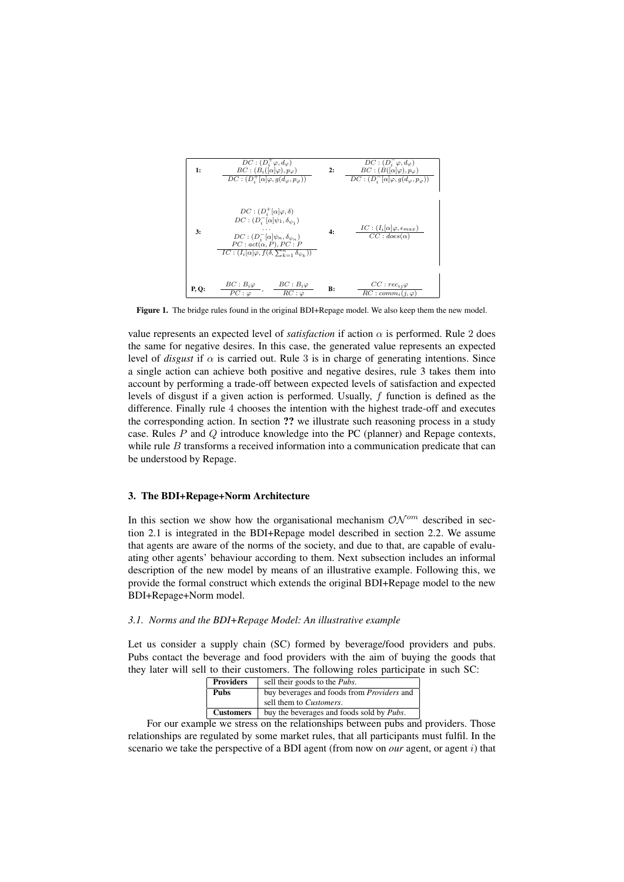

Figure 1. The bridge rules found in the original BDI+Repage model. We also keep them the new model.

value represents an expected level of *satisfaction* if action  $\alpha$  is performed. Rule 2 does the same for negative desires. In this case, the generated value represents an expected level of *disgust* if  $\alpha$  is carried out. Rule 3 is in charge of generating intentions. Since a single action can achieve both positive and negative desires, rule 3 takes them into account by performing a trade-off between expected levels of satisfaction and expected levels of disgust if a given action is performed. Usually, f function is defined as the difference. Finally rule 4 chooses the intention with the highest trade-off and executes the corresponding action. In section ?? we illustrate such reasoning process in a study case. Rules P and Q introduce knowledge into the PC (planner) and Repage contexts, while rule B transforms a received information into a communication predicate that can be understood by Repage.

#### 3. The BDI+Repage+Norm Architecture

In this section we show how the organisational mechanism  $\mathcal{ON}^{om}$  described in section 2.1 is integrated in the BDI+Repage model described in section 2.2. We assume that agents are aware of the norms of the society, and due to that, are capable of evaluating other agents' behaviour according to them. Next subsection includes an informal description of the new model by means of an illustrative example. Following this, we provide the formal construct which extends the original BDI+Repage model to the new BDI+Repage+Norm model.

#### *3.1. Norms and the BDI+Repage Model: An illustrative example*

Let us consider a supply chain (SC) formed by beverage/food providers and pubs. Pubs contact the beverage and food providers with the aim of buying the goods that they later will sell to their customers. The following roles participate in such SC:

| <b>Providers</b> | sell their goods to the <i>Pubs</i> .             |
|------------------|---------------------------------------------------|
| <b>Pubs</b>      | buy beverages and foods from <i>Providers</i> and |
|                  | sell them to <i>Customers</i> .                   |
| <b>Customers</b> | buy the beverages and foods sold by <i>Pubs</i> . |

For our example we stress on the relationships between pubs and providers. Those relationships are regulated by some market rules, that all participants must fulfil. In the scenario we take the perspective of a BDI agent (from now on *our* agent, or agent i) that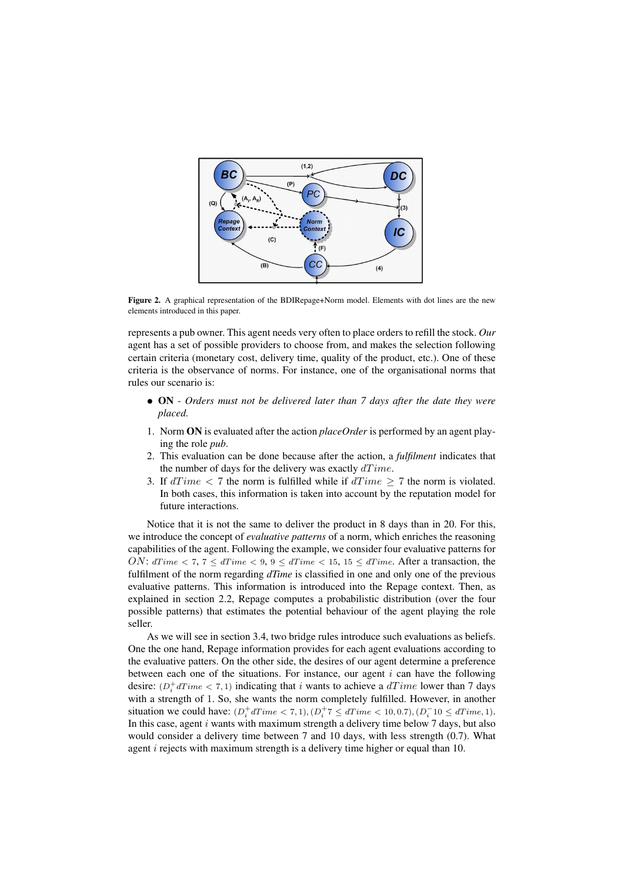

Figure 2. A graphical representation of the BDIRepage+Norm model. Elements with dot lines are the new elements introduced in this paper.

represents a pub owner. This agent needs very often to place orders to refill the stock. *Our* agent has a set of possible providers to choose from, and makes the selection following certain criteria (monetary cost, delivery time, quality of the product, etc.). One of these criteria is the observance of norms. For instance, one of the organisational norms that rules our scenario is:

- ON *Orders must not be delivered later than 7 days after the date they were placed.*
- 1. Norm ON is evaluated after the action *placeOrder* is performed by an agent playing the role *pub*.
- 2. This evaluation can be done because after the action, a *fulfilment* indicates that the number of days for the delivery was exactly  $dTime$ .
- 3. If  $dT$ *ime*  $\lt$  7 the norm is fulfilled while if  $dT$ *ime*  $\geq$  7 the norm is violated. In both cases, this information is taken into account by the reputation model for future interactions.

Notice that it is not the same to deliver the product in 8 days than in 20. For this, we introduce the concept of *evaluative patterns* of a norm, which enriches the reasoning capabilities of the agent. Following the example, we consider four evaluative patterns for ON: dTime  $\langle 7, 7 \leq dTime \leq 9, 9 \leq dTime \leq 15, 15 \leq dTime$ . After a transaction, the fulfilment of the norm regarding *dTime* is classified in one and only one of the previous evaluative patterns. This information is introduced into the Repage context. Then, as explained in section 2.2, Repage computes a probabilistic distribution (over the four possible patterns) that estimates the potential behaviour of the agent playing the role seller.

As we will see in section 3.4, two bridge rules introduce such evaluations as beliefs. One the one hand, Repage information provides for each agent evaluations according to the evaluative patters. On the other side, the desires of our agent determine a preference between each one of the situations. For instance, our agent  $i$  can have the following desire:  $(D_i^+ dTime < 7, 1)$  indicating that i wants to achieve a  $dTime$  lower than 7 days with a strength of 1. So, she wants the norm completely fulfilled. However, in another situation we could have:  $(D_i^+ dTime < 7, 1), (D_i^+ 7 \leq dTime < 10, 0.7), (D_i^- 10 \leq dTime, 1).$ In this case, agent  $i$  wants with maximum strength a delivery time below  $7$  days, but also would consider a delivery time between 7 and 10 days, with less strength (0.7). What agent *i* rejects with maximum strength is a delivery time higher or equal than 10.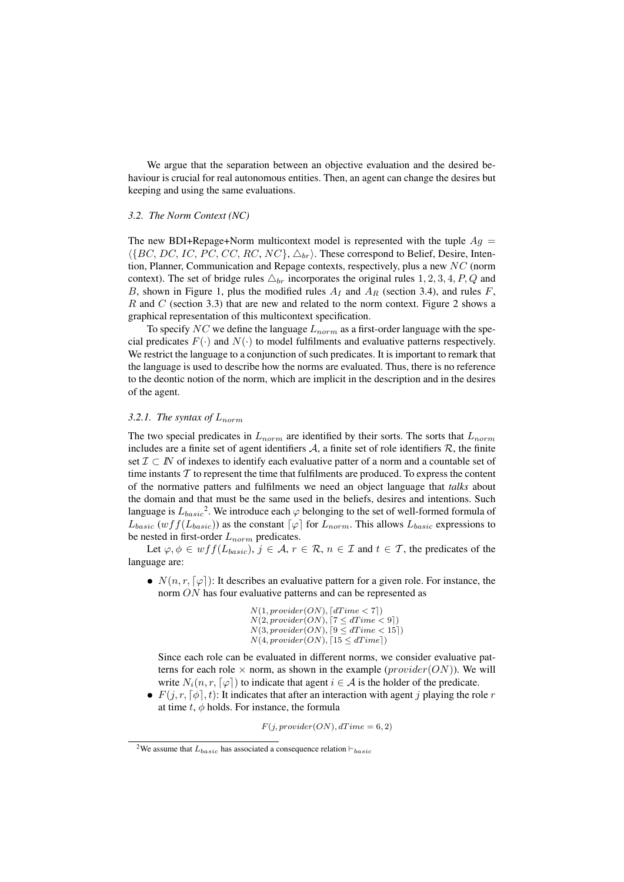We argue that the separation between an objective evaluation and the desired behaviour is crucial for real autonomous entities. Then, an agent can change the desires but keeping and using the same evaluations.

#### *3.2. The Norm Context (NC)*

The new BDI+Repage+Norm multicontext model is represented with the tuple  $Aq =$  $\langle \{BC, DC, IC, PC, CC, RC, NC\}, \triangle_{br} \rangle$ . These correspond to Belief, Desire, Intention, Planner, Communication and Repage contexts, respectively, plus a new  $NC$  (norm context). The set of bridge rules  $\triangle_{br}$  incorporates the original rules 1, 2, 3, 4, P, Q and B, shown in Figure 1, plus the modified rules  $A_I$  and  $A_R$  (section 3.4), and rules F,  $R$  and  $C$  (section 3.3) that are new and related to the norm context. Figure 2 shows a graphical representation of this multicontext specification.

To specify NC we define the language  $L_{norm}$  as a first-order language with the special predicates  $F(\cdot)$  and  $N(\cdot)$  to model fulfilments and evaluative patterns respectively. We restrict the language to a conjunction of such predicates. It is important to remark that the language is used to describe how the norms are evaluated. Thus, there is no reference to the deontic notion of the norm, which are implicit in the description and in the desires of the agent.

## 3.2.1. The syntax of  $L_{norm}$

The two special predicates in  $L_{norm}$  are identified by their sorts. The sorts that  $L_{norm}$ includes are a finite set of agent identifiers  $A$ , a finite set of role identifiers  $R$ , the finite set  $\mathcal{I} \subset \mathbb{N}$  of indexes to identify each evaluative patter of a norm and a countable set of time instants  $T$  to represent the time that fulfilments are produced. To express the content of the normative patters and fulfilments we need an object language that *talks* about the domain and that must be the same used in the beliefs, desires and intentions. Such language is  $L_{basic}^2$ . We introduce each  $\varphi$  belonging to the set of well-formed formula of  $L_{basic} (wff(L_{basic}))$  as the constant  $\lceil \varphi \rceil$  for  $L_{norm}$ . This allows  $L_{basic}$  expressions to be nested in first-order  $L_{norm}$  predicates.

Let  $\varphi, \varphi \in wff(L_{basic}), j \in \mathcal{A}, r \in \mathcal{R}, n \in \mathcal{I}$  and  $t \in \mathcal{T}$ , the predicates of the language are:

•  $N(n, r, \lceil \varphi \rceil)$ : It describes an evaluative pattern for a given role. For instance, the norm ON has four evaluative patterns and can be represented as

> $N(1, provider(ON), [dTime < 7])$  $N(2, provider(ON), [7 \leq dTime < 9])$  $N(3, provider(ON), [9 \leq dTime < 15])$  $N(4, provider(ON), [15 \leq dTime])$

Since each role can be evaluated in different norms, we consider evaluative patterns for each role  $\times$  norm, as shown in the example (*provider*(*ON*)). We will write  $N_i(n, r, \lceil \varphi \rceil)$  to indicate that agent  $i \in \mathcal{A}$  is the holder of the predicate.

•  $F(i, r, \lceil \phi \rceil, t)$ : It indicates that after an interaction with agent j playing the role r at time  $t, \phi$  holds. For instance, the formula

 $F(j, provider(ON), dTime = 6, 2)$ 

<sup>&</sup>lt;sup>2</sup>We assume that  $L_{basic}$  has associated a consequence relation  $\vdash_{basic}$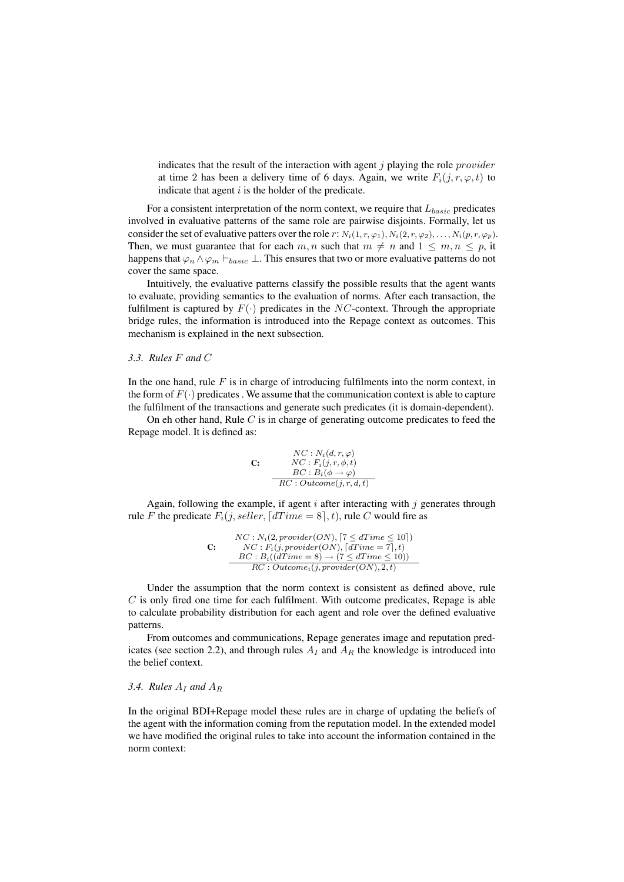indicates that the result of the interaction with agent  $j$  playing the role  $provider$ at time 2 has been a delivery time of 6 days. Again, we write  $F_i(j, r, \varphi, t)$  to indicate that agent  $i$  is the holder of the predicate.

For a consistent interpretation of the norm context, we require that  $L_{basic}$  predicates involved in evaluative patterns of the same role are pairwise disjoints. Formally, let us consider the set of evaluative patters over the role r:  $N_i(1, r, \varphi_1), N_i(2, r, \varphi_2), \ldots, N_i(p, r, \varphi_p)$ . Then, we must guarantee that for each m, n such that  $m \neq n$  and  $1 \leq m, n \leq p$ , it happens that  $\varphi_n \wedge \varphi_m \vdash_{basic} \bot$ . This ensures that two or more evaluative patterns do not cover the same space.

Intuitively, the evaluative patterns classify the possible results that the agent wants to evaluate, providing semantics to the evaluation of norms. After each transaction, the fulfilment is captured by  $F(\cdot)$  predicates in the NC-context. Through the appropriate bridge rules, the information is introduced into the Repage context as outcomes. This mechanism is explained in the next subsection.

#### *3.3. Rules* F *and* C

In the one hand, rule  $F$  is in charge of introducing fulfilments into the norm context, in the form of  $F(\cdot)$  predicates. We assume that the communication context is able to capture the fulfilment of the transactions and generate such predicates (it is domain-dependent).

On eh other hand, Rule  $C$  is in charge of generating outcome predicates to feed the Repage model. It is defined as:

C:  
\n
$$
NC: N_i(d, r, \varphi)
$$
\n
$$
NC: F_i(j, r, \phi, t)
$$
\n
$$
BC: B_i(\phi \to \varphi)
$$
\n
$$
RC: Outcome(j, r, d, t)
$$

Again, following the example, if agent  $i$  after interacting with  $j$  generates through rule F the predicate  $F_i$  (*j*, seller,  $[dTime = 8]$ , *t*), rule C would fire as

$$
\text{C:} \quad Nc: N_i(2, provider(ON), \lceil 7 \leq dTime \leq 10 \rceil) \\ \text{C:} \quad NC: F_i(j, provider(ON), \lceil dTime = 7 \rceil, t) \\ \text{BC:} \quad B_i((dTime = 8) \rightarrow (7 \leq dTime \leq 10)) \\ \text{RC:} \quad Outcome_i(j, provider(ON), 2, t)
$$

Under the assumption that the norm context is consistent as defined above, rule  $C$  is only fired one time for each fulfilment. With outcome predicates, Repage is able to calculate probability distribution for each agent and role over the defined evaluative patterns.

From outcomes and communications, Repage generates image and reputation predicates (see section 2.2), and through rules  $A_I$  and  $A_R$  the knowledge is introduced into the belief context.

### 3.4. Rules  $A_I$  and  $A_R$

In the original BDI+Repage model these rules are in charge of updating the beliefs of the agent with the information coming from the reputation model. In the extended model we have modified the original rules to take into account the information contained in the norm context: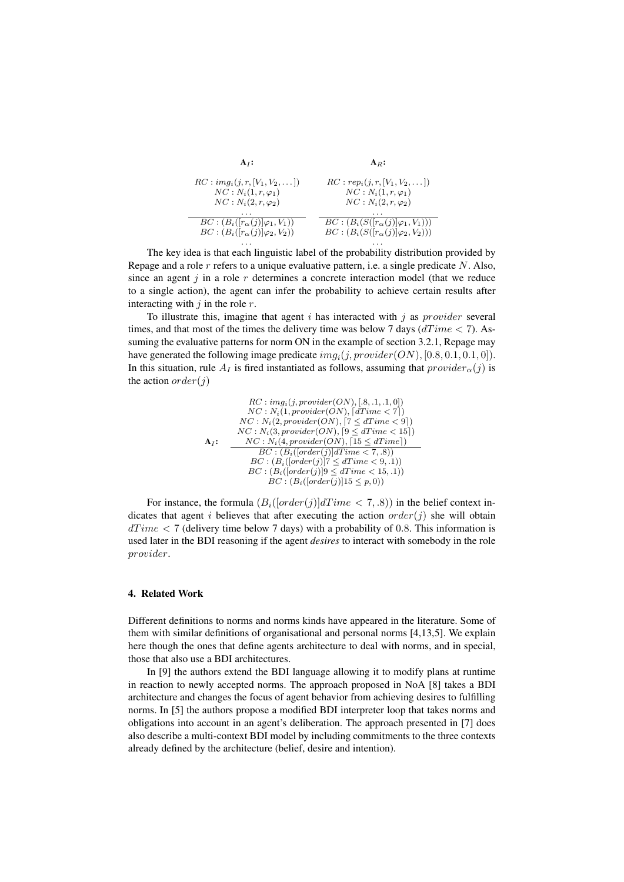A<sub>I</sub>:  
\n
$$
AC: img_i(j, r, [V_1, V_2, ...])
$$
\n
$$
NC: rep_i(j, r, [V_1, V_2, ...])
$$
\n
$$
NC: N_i(1, r, \varphi_1)
$$
\n
$$
NC: N_i(2, r, \varphi_2)
$$
\n
$$
DC: (B_i([r_{\alpha}(j)]\varphi_1, V_1))
$$
\n
$$
BC: (B_i([r_{\alpha}(j)]\varphi_2, V_2))
$$
\n
$$
DC: (B_i([r_{\alpha}(j)]\varphi_2, V_2))
$$
\n
$$
DC: (C_i([r_{\alpha}(j)]\varphi_2, V_2))
$$
\n
$$
DC: (C_i([r_{\alpha}(j)]\varphi_2, V_2))
$$
\n
$$
DC: (C_i([r_{\alpha}(j)]\varphi_2, V_2))
$$

The key idea is that each linguistic label of the probability distribution provided by Repage and a role  $r$  refers to a unique evaluative pattern, i.e. a single predicate  $N$ . Also, since an agent  $j$  in a role  $r$  determines a concrete interaction model (that we reduce to a single action), the agent can infer the probability to achieve certain results after interacting with  $j$  in the role  $r$ .

To illustrate this, imagine that agent  $i$  has interacted with  $j$  as *provider* several times, and that most of the times the delivery time was below 7 days ( $dTime < 7$ ). Assuming the evaluative patterns for norm ON in the example of section 3.2.1, Repage may have generated the following image predicate  $img_i(j, provider(ON), [0.8, 0.1, 0.1, 0]).$ In this situation, rule  $A_I$  is fired instantiated as follows, assuming that  $provider_\alpha(j)$  is the action  $order(j)$ 

$$
RC: img_i(j, provider(ON), [.8, .1, .1, 0])
$$
  
\n
$$
NC: N_i(1, provider(ON), [dTime < 7])
$$
  
\n
$$
NC: N_i(2, provider(ON), [7 \leq dTime < 9])
$$
  
\n
$$
NC: N_i(3, provider(ON), [9 \leq dTime < 15])
$$
  
\n
$$
A_I: \underbrace{NC: N_i(4, provider(ON), [15 \leq dTime])}_{BC: (B_i([order(j)]dTime < 7, .8))}
$$
  
\n
$$
BC: (B_i([order(j)]) \leq dTime < 9, .1))
$$
  
\n
$$
BC: (B_i([order(j)]) \leq dTime < 15, .1))
$$
  
\n
$$
BC: (B_i([order(j)]) \leq dTime < 15, .1))
$$
  
\n
$$
BC: (B_i([order(j)]) \leq dTime < 15, .1))
$$

For instance, the formula  $(B_i([order(j)]dTime < 7, .8))$  in the belief context indicates that agent i believes that after executing the action  $order(j)$  she will obtain  $dT$ ime  $\lt$  7 (delivery time below 7 days) with a probability of 0.8. This information is used later in the BDI reasoning if the agent *desires* to interact with somebody in the role provider.

### 4. Related Work

Different definitions to norms and norms kinds have appeared in the literature. Some of them with similar definitions of organisational and personal norms [4,13,5]. We explain here though the ones that define agents architecture to deal with norms, and in special, those that also use a BDI architectures.

In [9] the authors extend the BDI language allowing it to modify plans at runtime in reaction to newly accepted norms. The approach proposed in NoA [8] takes a BDI architecture and changes the focus of agent behavior from achieving desires to fulfilling norms. In [5] the authors propose a modified BDI interpreter loop that takes norms and obligations into account in an agent's deliberation. The approach presented in [7] does also describe a multi-context BDI model by including commitments to the three contexts already defined by the architecture (belief, desire and intention).